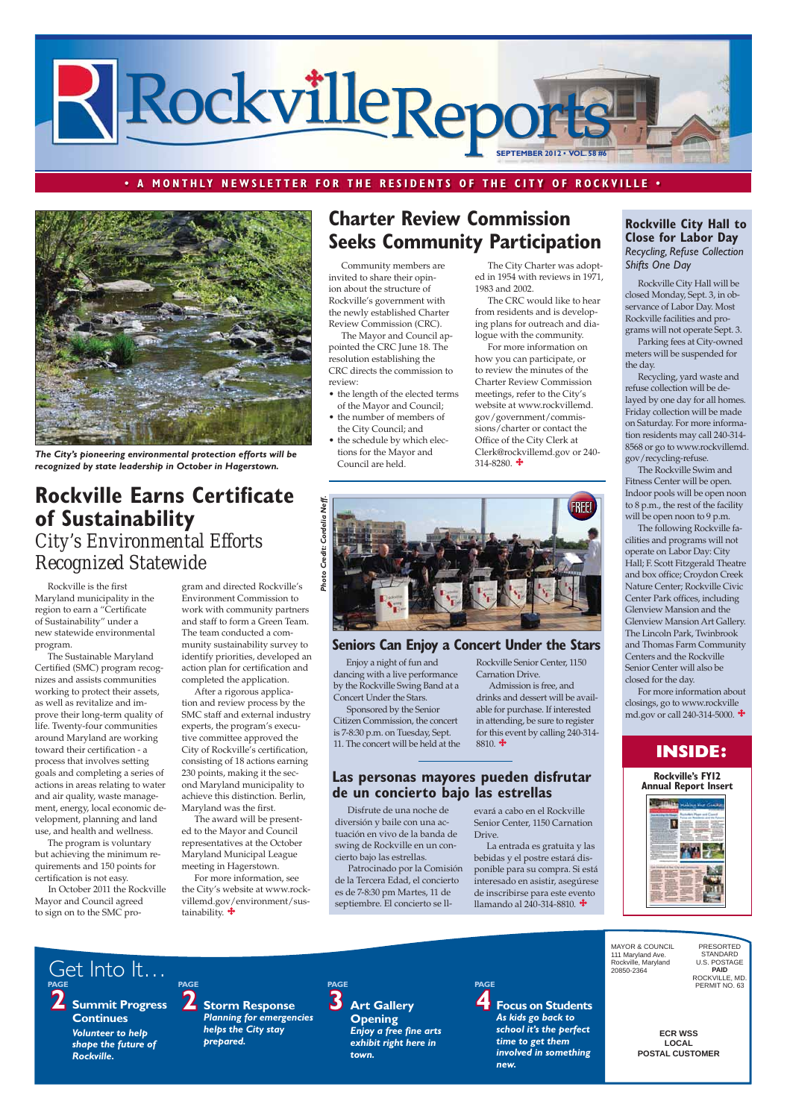**ECR WSS LOCAL POSTAL CUSTOMER** MAYOR & COUNCIL 111 Maryland Ave. Rockville, Maryland 20850-2364 PRESORTED STANDARD U.S. POSTAGE **PAID** ROCKVILLE, MD. PERMIT NO. 63 **2 Summit Progress Continues** *Volunteer to help shape the future of Rockville.* **2 Storm Response**  *Planning for emergencies helps the City stay prepared.* PAGE<br>**3** Art Gallery **Opening**  *Enjoy a free fine arts exhibit right here in town.* **PAGE 4 Focus on Students** *As kids go back to school it's the perfect time to get them involved in something new.* Get Into It… **PAGE PAGE PAGE**

- the length of the elected terms of the Mayor and Council;
- the number of members of the City Council; and
- the schedule by which elections for the Mayor and Council are held.



### **· A MONTHLY NEWSLETTER FOR THE RESIDENTS OF THE CITY OF ROCKVILLE .**

## **INSIDE:**

For more information on how you can participate, or to review the minutes of the Charter Review Commission meetings, refer to the City's website at www.rockvillemd. gov/government/commissions/charter or contact the Office of the City Clerk at Clerk@rockvillemd.gov or 240- 314-8280.  $\ddagger$ 

Community members are invited to share their opinion about the structure of Rockville's government with the newly established Charter Review Commission (CRC).

The Mayor and Council appointed the CRC June 18. The resolution establishing the CRC directs the commission to review:

The City Charter was adopted in 1954 with reviews in 1971, 1983 and 2002.

The CRC would like to hear from residents and is developing plans for outreach and dialogue with the community.

For more information, see the City's website at www.rockvillemd.gov/environment/sustainability.  $\mathbf{\dot{+}}$ 

Rockville is the first Maryland municipality in the region to earn a "Certificate of Sustainability" under a new statewide environmental program.

### **Rockville City Hall to Close for Labor Day** *Recycling, Refuse Collection Shifts One Day*

The Sustainable Maryland Certified (SMC) program recognizes and assists communities working to protect their assets, as well as revitalize and improve their long-term quality of life. Twenty-four communities around Maryland are working toward their certification - a process that involves setting goals and completing a series of actions in areas relating to water and air quality, waste management, energy, local economic development, planning and land use, and health and wellness.

# **Rockville Earns Certificate of Sustainability** *City's Environmental Efforts Recognized Statewide*

The program is voluntary but achieving the minimum requirements and 150 points for

certification is not easy.

In October 2011 the Rockville Mayor and Council agreed to sign on to the SMC pro-

Admission is free, and drinks and dessert will be available for purchase. If interested in attending, be sure to register for this event by calling 240-314-  $8810.$   $\bigoplus$ 

### Las personas mayores pueden disfrutar de un concierto bajo las estrellas

gram and directed Rockville's Environment Commission to work with community partners and staff to form a Green Team. The team conducted a community sustainability survey to identify priorities, developed an action plan for certification and completed the application.

After a rigorous application and review process by the SMC staff and external industry experts, the program's executive committee approved the City of Rockville's certification, consisting of 18 actions earning 230 points, making it the second Maryland municipality to achieve this distinction. Berlin, Maryland was the first.

The award will be presented to the Mayor and Council representatives at the October Maryland Municipal League meeting in Hagerstown.

# **Charter Review Commission Seeks Community Participation**

Rockville City Hall will be closed Monday, Sept. 3, in observance of Labor Day. Most Rockville facilities and programs will not operate Sept. 3.

Parking fees at City-owned meters will be suspended for the day.

Recycling, yard waste and refuse collection will be delayed by one day for all homes. Friday collection will be made on Saturday. For more information residents may call 240-314- 8568 or go to www.rockvillemd. gov/recycling-refuse.

The Rockville Swim and Fitness Center will be open. Indoor pools will be open noon to 8 p.m., the rest of the facility will be open noon to 9 p.m.

The following Rockville facilities and programs will not operate on Labor Day: City Hall; F. Scott Fitzgerald Theatre and box office; Croydon Creek Nature Center; Rockville Civic Center Park offices, including Glenview Mansion and the Glenview Mansion Art Gallery. The Lincoln Park, Twinbrook and Thomas Farm Community Centers and the Rockville Senior Center will also be closed for the day.

For more information about closings, go to www.rockville md.gov or call 240-314-5000.



*The City's pioneering environmental protection efforts will be recognized by state leadership in October in Hagerstown.*

Enjoy a night of fun and dancing with a live performance by the Rockville Swing Band at a Concert Under the Stars.

 Sponsored by the Senior Citizen Commission, the concert is 7-8:30 p.m. on Tuesday, Sept. 11. The concert will be held at the Rockville Senior Center, 1150 Carnation Drive.

Disfrute de una noche de diversión y baile con una actuación en vivo de la banda de swing de Rockville en un concierto bajo las estrellas.

Patrocinado por la Comisión

de la Tercera Edad, el concierto es de 7-8:30 pm Martes, 11 de septiembre. El concierto se ll-



### **Seniors Can Enjoy a Concert Under the Stars**

evará a cabo en el Rockville Senior Center, 1150 Carnation Drive.

La entrada es gratuita y las bebidas y el postre estará disponible para su compra. Si está interesado en asistir, asegúrese de inscribirse para este evento llamando al 240-314-8810.

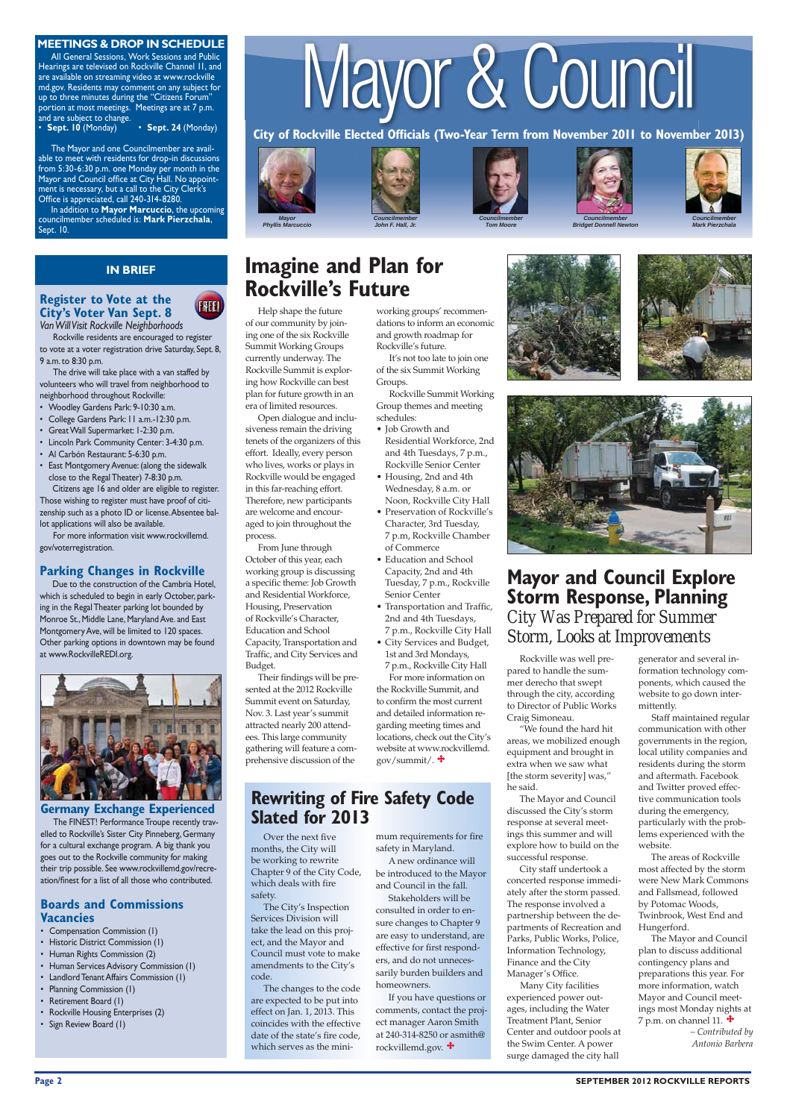# Mayor & Council

City of Rockville Elected Officials (Two-Year Term from November 2011 to November 2013)







# *Councilmember*



*Tom Moore*











*Mark Pierzchala*

#### **MEETINGS & DROP IN SCHEDULE**

All General Sessions, Work Sessions and Public Hearings are televised on Rockville Channel 11, and are available on streaming video at www.rockville md.gov. Residents may comment on any subject for up to three minutes during the "Citizens Forum" portion at most meetings. Meetings are at 7 p.m.

and are subject to change.<br>• **Sept. 10** (Monday) • Sept. 24 (Monday)

The Mayor and one Councilmember are available to meet with residents for drop-in discussions from 5:30-6:30 p.m. one Monday per month in the Mayor and Council office at City Hall. No appointment is necessary, but a call to the City Clerk's Office is appreciated, call 240-314-8280.

In addition to **Mayor Marcuccio**, the upcoming councilmember scheduled is: **Mark Pierzchala**, Sept. 10.

### **IN BRIEF**

of our community by joining one of the six Rockville Summit Working Groups currently underway. The Rockville Summit is exploring how Rockville can best plan for future growth in an era of limited resources.

- Job Growth and Residential Workforce, 2nd and 4th Tuesdays, 7 p.m., Rockville Senior Center
- Housing, 2nd and 4th Wednesday, 8 a.m. or Noon, Rockville City Hall
	- Character, 3rd Tuesday, 7 p.m, Rockville Chamber of Commerce
- Capacity, 2nd and 4th Tuesday, 7 p.m., Rockville Senior Center
- 2nd and 4th Tuesdays,
- City Services and Budget, 1st and 3rd Mondays,
- Education and School
- Transportation and Traffic, 7 p.m., Rockville City Hall
- 7 p.m., Rockville City Hall

For more information on the Rockville Summit, and to confirm the most current and detailed information regarding meeting times and locations, check out the City's website at www.rockvillemd. gov/summit/.  $\ddot{\ddot{\bullet}}$ 

Open dialogue and inclusiveness remain the driving tenets of the organizers of this effort. Ideally, every person who lives, works or plays in Rockville would be engaged in this far-reaching effort. Therefore, new participants are welcome and encouraged to join throughout the process.



From June through October of this year, each working group is discussing a specific theme: Job Growth and Residential Workforce, Housing, Preservation of Rockville's Character, Education and School Capacity, Transportation and Traffic, and City Services and Budget.

Their findings will be presented at the 2012 Rockville Summit event on Saturday, Nov. 3. Last year's summit attracted nearly 200 attendees. This large community gathering will feature a comprehensive discussion of the

## **Rewriting of Fire Safety Code Slated for 2013**

## **Mayor and Council Explore Storm Response, Planning** *City Was Prepared for Summer Storm, Looks at Improvements*

dations to inform an economic and growth roadmap for Rockville's future.



of the six Summit Working Groups.

Rockville Summit Working Group themes and meeting schedules:

### **Register to Vote at the City's Voter Van Sept. 8** *Van Will Visit Rockville Neighborhoods*



- Woodley Gardens Park: 9-10:30 a.m.
- College Gardens Park: 11 a.m.-12:30 p.m.
- Great Wall Supermarket: 1-2:30 p.m.
- Lincoln Park Community Center: 3-4:30 p.m.
- Al Carbón Restaurant: 5-6:30 p.m.
- East Montgomery Avenue: (along the sidewalk close to the Regal Theater) 7-8:30 p.m.

Due to the construction of the Cambria Hotel, which is scheduled to begin in early October, parking in the Regal Theater parking lot bounded by Monroe St., Middle Lane, Maryland Ave. and East Montgomery Ave, will be limited to 120 spaces. Other parking options in downtown may be found at www.RockvilleREDI.org.



### **Germany Exchange Experienced**

Rockville was well prepared to handle the summer derecho that swept through the city, according to Director of Public Works Craig Simoneau.

"We found the hard hit areas, we mobilized enough equipment and brought in extra when we saw what [the storm severity] was," he said.

The Mayor and Council discussed the City's storm response at several meetings this summer and will explore how to build on the successful response.

City staff undertook a

The FINEST! Performance Troupe recently travelled to Rockville's Sister City Pinneberg, Germany for a cultural exchange program. A big thank you goes out to the Rockville community for making their trip possible. See www.rockvillemd.gov/recre-

concerted response immediately after the storm passed. The response involved a partnership between the departments of Recreation and Parks, Public Works, Police, Information Technology, Finance and the City Manager's Office. Many City facilities experienced power outages, including the Water Treatment Plant, Senior Center and outdoor pools at the Swim Center. A power surge damaged the city hall

### **Page 2** SEPTEMBER 2012 ROCKVILLE REPORTS

generator and several information technology components, which caused the website to go down intermittently.

 Staff maintained regular communication with other governments in the region, local utility companies and residents during the storm and aftermath. Facebook and Twitter proved effective communication tools during the emergency, particularly with the problems experienced with the website.

The areas of Rockville most affected by the storm were New Mark Commons and Fallsmead, followed by Potomac Woods, Twinbrook, West End and Hungerford. The Mayor and Council plan to discuss additional contingency plans and preparations this year. For more information, watch Mayor and Council meetings most Monday nights at 7 p.m. on channel 11.  $\triangleq$ *– Contributed by Antonio Barbera*

 Rockville residents are encouraged to register to vote at a voter registration drive Saturday, Sept. 8, 9 a.m. to 8:30 p.m.

 The drive will take place with a van staffed by volunteers who will travel from neighborhood to neighborhood throughout Rockville:

Citizens age 16 and older are eligible to register. Those wishing to register must have proof of citizenship such as a photo ID or license. Absentee ballot applications will also be available.

 For more information visit www.rockvillemd. gov/voterregistration.

### **Parking Changes in Rockville**

Over the next five months, the City will be working to rewrite Chapter 9 of the City Code,

which deals with fire safety.

The City's Inspection Services Division will take the lead on this project, and the Mayor and Council must vote to make amendments to the City's code.

The changes to the code are expected to be put into effect on Jan. 1, 2013. This coincides with the effective date of the state's fire code, which serves as the minimum requirements for fire safety in Maryland. A new ordinance will

be introduced to the Mayor

and Council in the fall. Stakeholders will be consulted in order to ensure changes to Chapter 9 are easy to understand, are effective for first responders, and do not unnecessarily burden builders and homeowners.

If you have questions or comments, contact the project manager Aaron Smith at 240-314-8250 or asmith@ rockvillemd.gov.

ation/finest for a list of all those who contributed.

### **Boards and Commissions Vacancies**

- Compensation Commission (1)
- Historic District Commission (1)
- Human Rights Commission (2)
- Human Services Advisory Commission (1)
- Landlord Tenant Affairs Commission (1)
- Planning Commission (1)
- Retirement Board (1)
- Rockville Housing Enterprises (2)
- Sign Review Board (1)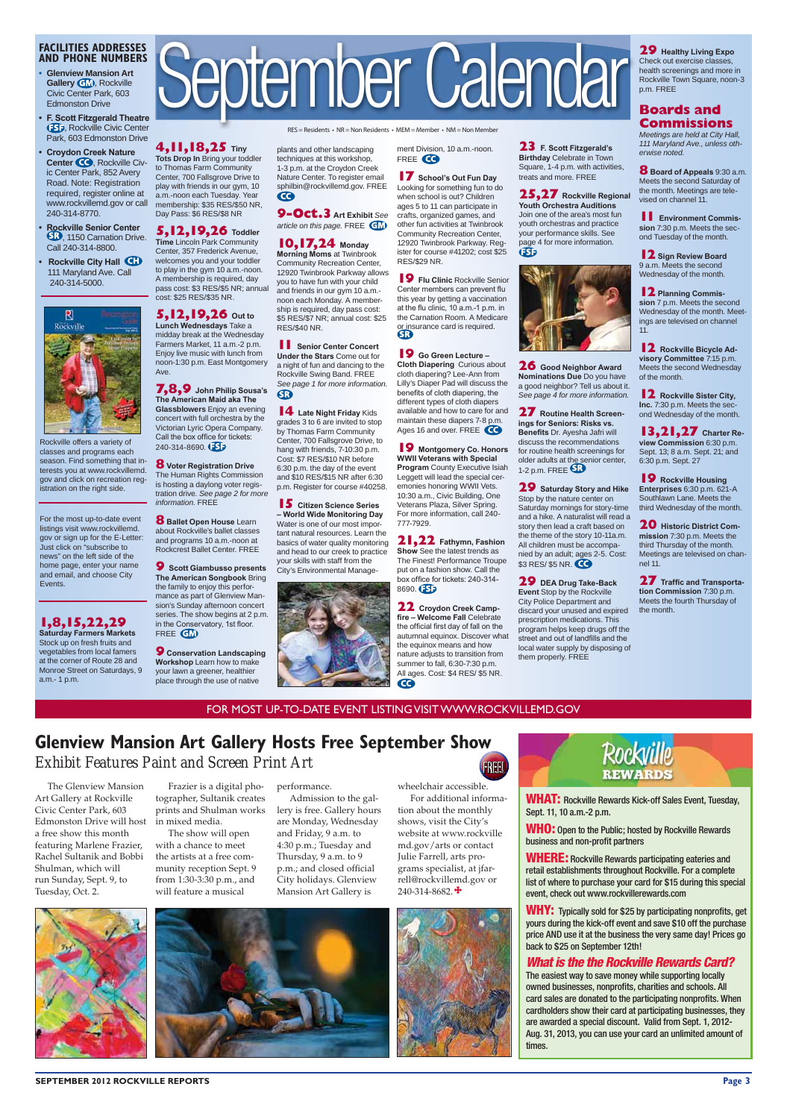For the most up-to-date event listings visit www.rockvillemd. gov or sign up for the E-Letter: Just click on "subscribe to news" on the left side of the home page, enter your name and email, and choose City Events.

# **1,8,15,22,29**<br>Saturday Farmers Markets

### **FACILITIES ADDRESSES AND PHONE NUMBERS**

- **s Glenview Mansion Art Gallery <b>GM**, Rockville Civic Center Park, 603 Edmonston Drive
- **F. Scott Fitzgerald Theatre ESD, Rockville Civic Center** Park, 603 Edmonston Drive

- **Croydon Creek Nature** Center **CO**, Rockville Civic Center Park, 852 Avery Road. Note: Registration required, register online at www.rockvillemd.gov or call 240-314-8770.
- **Rockville Senior Center** , 1150 Carnation Drive. Call 240-314-8800.
- **Rockville City Hall CD**  111 Maryland Ave. Call 240-314-5000.



**5,12,19,26** Toddler<br>Time Lincoln Park Community Center, 357 Frederick Avenue, welcomes you and your toddler to play in the gym 10 a.m.-noon. A membership is required, day pass cost: \$3 RES/\$5 NR; annual

**5,12,19,26** out to Lunch Wednesdays Take a midday break at the Wednesday Farmers Market, 11 a.m.-2 p.m. Enjoy live music with lunch from noon-1:30 p.m. East Montgomery

**7,8,9** John Philip Sousa's **The American Maid aka The Glassblowers** Enjoy an evening concert with full orchestra by the Victorian Lyric Opera Company. Call the box office for tickets: 240-314-8690.

Rockville offers a variety of classes and programs each season. Find something that interests you at www.rockvillemd. gov and click on recreation registration on the right side.

**8** Voter Registration Drive The Human Rights Commission is hosting a daylong voter registration drive. *See page 2 for more* 

**8 Ballet Open House** Learn about Rockville's ballet classes and programs 10 a.m.-noon at Rockcrest Ballet Center. FREE **9** Scott Giambusso presents **The American Songbook Bring** the family to enjoy this performance as part of Glenview Mansion's Sunday afternoon concert series. The show begins at 2 p.m. in the Conservatory, 1st floor.

Stock up on fresh fruits and vegetables from local famers at the corner of Route 28 and Monroe Street on Saturdays, 9 a.m.- 1 p.m.

# September Calendar

 $RES = Residents - NR = Non Residents - MEM = Member - NM = Non Member$ 

**9** Conservation Landscaping **Workshop** Learn how to make your lawn a greener, healthier place through the use of native

plants and other landscaping techniques at this workshop, 1-3 p.m. at the Croydon Creek Nature Center. To register email sphilbin@rockvillemd.gov. FREE  $\mathbf \Omega$ 

**4,11,18,25 Tiny Tots Drop In** Bring your toddler to Thomas Farm Community Center, 700 Fallsgrove Drive to play with friends in our gym, 10 a.m.-noon each Tuesday. Year membership: \$35 RES/\$50 NR, Day Pass: \$6 RES/\$8 NR

**9-Oct.3** Art Exhibit See *article on this page.* FREE

### **10,17,24 Monday**

**Morning Moms** at Twinbrook Community Recreation Center, 12920 Twinbrook Parkway allows you to have fun with your child and friends in our gym 10 a.m. noon each Monday. A membership is required, day pass cost: \$5 RES/\$7 NR; annual cost: \$25 RES/\$40 NR.

**11 Senior Center Concert Under the Stars Come out for** a night of fun and dancing to the Rockville Swing Band. FREE *See page 1 for more information.* 6B)

cost: \$25 RES/\$35 NR.

**14** Late Night Friday Kids grades 3 to 6 are invited to stop by Thomas Farm Community Center, 700 Fallsgrove Drive, to hang with friends, 7-10:30 p.m. Cost: \$7 RES/\$10 NR before 6:30 p.m. the day of the event and \$10 RES/\$15 NR after 6:30 p.m. Register for course #40258.

Ave.

**15** Citizen Science Series  $-$  World Wide Monitoring Day Water is one of our most important natural resources. Learn the basics of water quality monitoring and head to our creek to practice your skills with staff from the City's Environmental Management Division, 10 a.m.-noon. FREE CO



**17** School's Out Fun Day Looking for something fun to do when school is out? Children ages 5 to 11 can participate in crafts, organized games, and other fun activities at Twinbrook Community Recreation Center, 12920 Twinbrook Parkway. Register for course #41202; cost \$25 RES/\$29 NR.

**19** Flu Clinic Rockville Senior Center members can prevent flu this year by getting a vaccination at the flu clinic, 10 a.m.-1 p.m. in the Carnation Room. A Medicare **or insurance card is required.**<br>SR

**19** Go Green Lecture -**Cloth Diapering Curious about** cloth diapering? Lee-Ann from Lilly's Diaper Pad will discuss the benefits of cloth diapering, the different types of cloth diapers available and how to care for and maintain these diapers 7-8 p.m. Ages 16 and over. FREE

*information.* FREE

FREE **GM** 

**9 Montgomery Co. Honors**<br>WWII Veterans with Special **Program** County Executive Isiah Leggett will lead the special ceremonies honoring WWII Vets. 10:30 a.m., Civic Building, One Veterans Plaza, Silver Spring. For more information, call 240- 777-7929.

**21,22** Fathymn, Fashion **Show** See the latest trends as The Finest! Performance Troupe put on a fashion show. Call the box office for tickets: 240-314-8690.

**22** Croydon Creek Campfire - Welcome Fall Celebrate the official first day of fall on the autumnal equinox. Discover what the equinox means and how nature adjusts to transition from summer to fall, 6:30-7:30 p.m. All ages. Cost: \$4 RES/ \$5 NR.  $\bullet$ 

**23 F. Scott Fitzgerald's Birthday** Celebrate in Town Square, 1-4 p.m. with activities, treats and more. FREE

**25,27** Rockville Regional **Youth Orchestra Auditions** Join one of the area's most fun youth orchestras and practice your performance skills. See page 4 for more information.



#### **29** Healthy Living Expo Check out exercise classes, health screenings and more in Rockville Town Square, noon-3 p.m. FREE

**8** Board of Appeals 9:30 a.m. Meets the second Saturday of the month. Meetings are televised on channel 11.

**11 Environment Commission** 7:30 p.m. Meets the second Tuesday of the month.

**12** Sign Review Board 9 a.m. Meets the second Wednesday of the month.

**12** Planning Commis**sion** 7 p.m. Meets the second Wednesday of the month. Meetings are televised on channel 11.

**12** Rockville Bicycle Ad**visory Committee 7:15 p.m.** Meets the second Wednesday of the month.

**12** Rockville Sister City, Inc. 7:30 p.m. Meets the second Wednesday of the month.

**13,21,27** Charter Re-**View Commission 6:30 p.m.** Sept. 13; 8 a.m. Sept. 21; and 6:30 p.m. Sept. 27

**19** Rockville Housing **Enterprises** 6:30 p.m. 621-A Southlawn Lane. Meets the third Wednesday of the month.

**20** Historic District Com**mission** 7:30 p.m. Meets the third Thursday of the month. Meetings are televised on channel 11.

**27 Traffic and Transportation Commission 7:30 p.m.** Meets the fourth Thursday of the month.

### FOR MOST UP-TO-DATE EVENT LISTING VISIT WWW.ROCKVILLEMD.GOV

### **Glenview Mansion Art Gallery Hosts Free September Show** *Exhibit Features Paint and Screen Print Art* **FREE!**

rell@rockvillemd.gov or 240-314-8682. $\div$ 



**26** Good Neighbor Award **Nominations Due** Do you have a good neighbor? Tell us about it. *See page 4 for more information.*

**27** Routine Health Screen-**Inas for Seniors: Risks vs. Benefits Dr. Ayesha Jafri will** discuss the recommendations for routine health screenings for older adults at the senior center, 1-2 p.m. FREE

**29** Saturday Story and Hike Stop by the nature center on Saturday mornings for story-time and a hike. A naturalist will read a story then lead a craft based on the theme of the story 10-11a.m. All children must be accompanied by an adult; ages 2-5. Cost: \$3 RES/ \$5 NR. **CO** 

**29** DEA Drug Take-Back **Event** Stop by the Rockville City Police Department and discard your unused and expired prescription medications. This program helps keep drugs off the street and out of landfills and the local water supply by disposing of them properly. FREE

**WHAT:** Rockville Rewards Kick-off Sales Event, Tuesday, Sept. 11, 10 a.m.-2 p.m.

**WHO:** Open to the Public; hosted by Rockville Rewards business and non-profit partners

**WHERE:** Rockville Rewards participating eateries and retail establishments throughout Rockville. For a complete list of where to purchase your card for \$15 during this special event, check out www.rockvillerewards.com

**WHY:** Typically sold for \$25 by participating nonprofits, get yours during the kick-off event and save \$10 off the purchase price AND use it at the business the very same day! Prices go back to \$25 on September 12th!

### *What is the the Rockville Rewards Card?*

The easiest way to save money while supporting locally owned businesses, nonprofits, charities and schools. All card sales are donated to the participating nonprofits. When cardholders show their card at participating businesses, they are awarded a special discount. Valid from Sept. 1, 2012- Aug. 31, 2013, you can use your card an unlimited amount of times.

### **3 SEPTEMBER 2012 ROCKVILLE REPORTS**

### **Boards and Commissions**

*Meetings are held at City Hall, 111 Maryland Ave., unless otherwise noted.*

The Glenview Mansion Art Gallery at Rockville Civic Center Park, 603 Edmonston Drive will host a free show this month featuring Marlene Frazier, Rachel Sultanik and Bobbi Shulman, which will

run Sunday, Sept. 9, to Tuesday, Oct. 2.

Frazier is a digital photographer, Sultanik creates prints and Shulman works in mixed media.

The show will open with a chance to meet the artists at a free community reception Sept. 9

from 1:30-3:30 p.m., and will feature a musical

performance.

Admission to the gallery is free. Gallery hours are Monday, Wednesday and Friday, 9 a.m. to 4:30 p.m.; Tuesday and Thursday, 9 a.m. to 9 p.m.; and closed official

City holidays. Glenview Mansion Art Gallery is

wheelchair accessible.

For additional information about the monthly shows, visit the City's website at www.rockville md.gov/arts or contact Julie Farrell, arts programs specialist, at jfar-